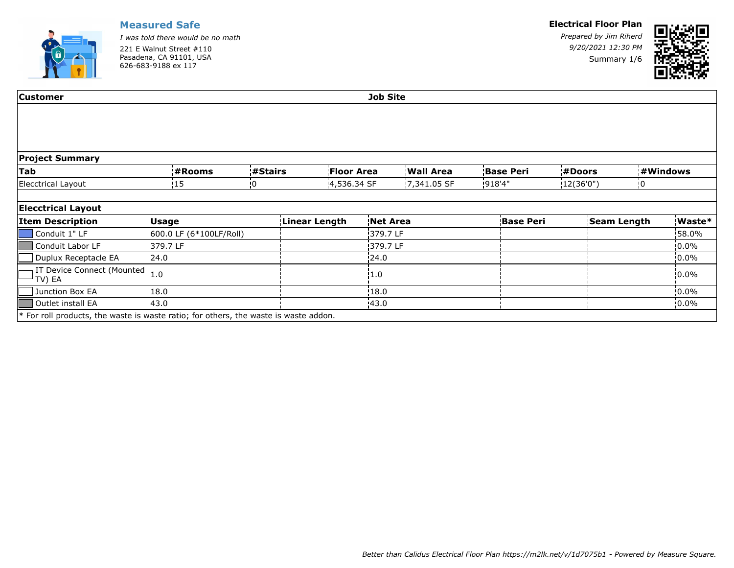

*I was told there would be no math* 221 E Walnut Street #110 Pasadena, CA 91101, USA 626-683-9188 ex 117

#### **Electrical Floor Plan**

*Prepared by Jim Riherd 9/20/2021 12:30 PM* Summary 1/6



| <b>Customer</b>                                                                    | <b>Job Site</b>         |          |               |                   |          |             |        |                  |               |                    |    |           |
|------------------------------------------------------------------------------------|-------------------------|----------|---------------|-------------------|----------|-------------|--------|------------------|---------------|--------------------|----|-----------|
|                                                                                    |                         |          |               |                   |          |             |        |                  |               |                    |    |           |
|                                                                                    |                         |          |               |                   |          |             |        |                  |               |                    |    |           |
| <b>Project Summary</b>                                                             |                         |          |               |                   |          |             |        |                  |               |                    |    |           |
| <b>Tab</b>                                                                         | ¦#Rooms                 | ¦#Stairs |               | <b>Floor Area</b> |          | Wall Area   |        | <b>Base Peri</b> | <b>#Doors</b> |                    |    | ¦#Windows |
| Elecctrical Layout                                                                 | <b>15</b>               | :0       |               | 14,536.34 SF      |          | 7,341.05 SF | 918'4" |                  | (12(36'0''))  |                    | !O |           |
|                                                                                    |                         |          |               |                   |          |             |        |                  |               |                    |    |           |
| <b>Elecctrical Layout</b>                                                          |                         |          |               |                   |          |             |        |                  |               |                    |    |           |
| <b>Item Description</b>                                                            | <b>Usage</b>            |          | Linear Length |                   | Net Area |             |        | <b>Base Peri</b> |               | <b>Seam Length</b> |    | Waste*    |
| Conduit 1" LF                                                                      | 600.0 LF (6*100LF/Roll) |          |               |                   | 379.7 LF |             |        |                  |               |                    |    | 58.0%     |
| Conduit Labor LF                                                                   | 379.7 LF                |          |               |                   | 379.7 LF |             |        |                  |               |                    |    | $10.0\%$  |
| Duplux Receptacle EA                                                               | 24.0                    |          |               |                   | 24.0     |             |        |                  |               |                    |    | $10.0\%$  |
| IT Device Connect (Mounted  1.0<br>TV) EA                                          |                         |          |               |                   | 1.0      |             |        |                  |               |                    |    | $10.0\%$  |
| Junction Box EA                                                                    | 18.0                    |          |               |                   | 18.0     |             |        |                  |               |                    |    | $10.0\%$  |
| Outlet install EA                                                                  | 43.0                    |          |               |                   | 43.0     |             |        |                  |               |                    |    | $10.0\%$  |
| For roll products, the waste is waste ratio; for others, the waste is waste addon. |                         |          |               |                   |          |             |        |                  |               |                    |    |           |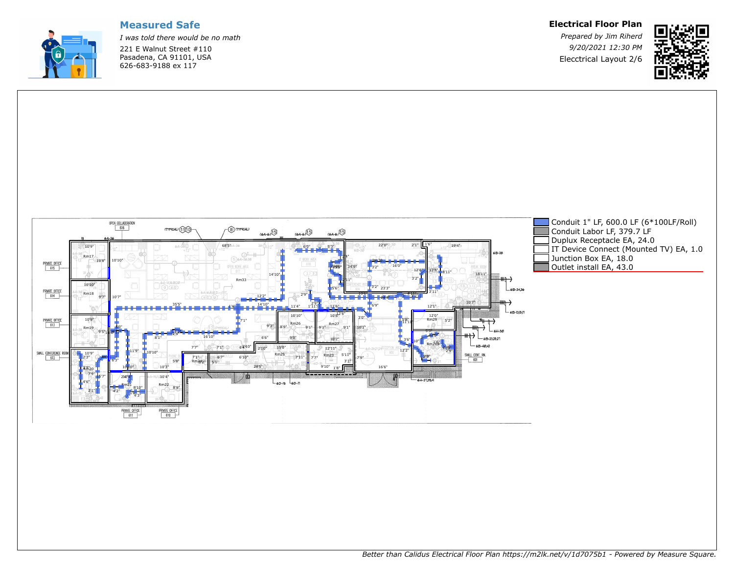

*I was told there would be no math* 221 E Walnut Street #110 Pasadena, CA 91101, USA 626-683-9188 ex 117

**Electrical Floor Plan**

*Prepared by Jim Riherd 9/20/2021 12:30 PM* Elecctrical Layout 2/6



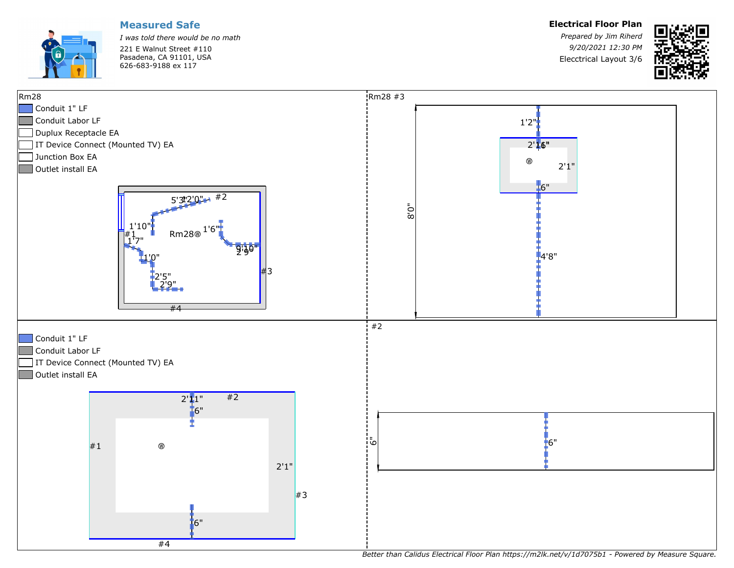

*I was told there would be no math* 221 E Walnut Street #110 Pasadena, CA 91101, USA 626-683-9188 ex 117

*Prepared by Jim Riherd 9/20/2021 12:30 PM* Elecctrical Layout 3/6





*Better than Calidus Electrical Floor Plan https://m2lk.net/v/1d7075b1 - Powered by Measure Square.*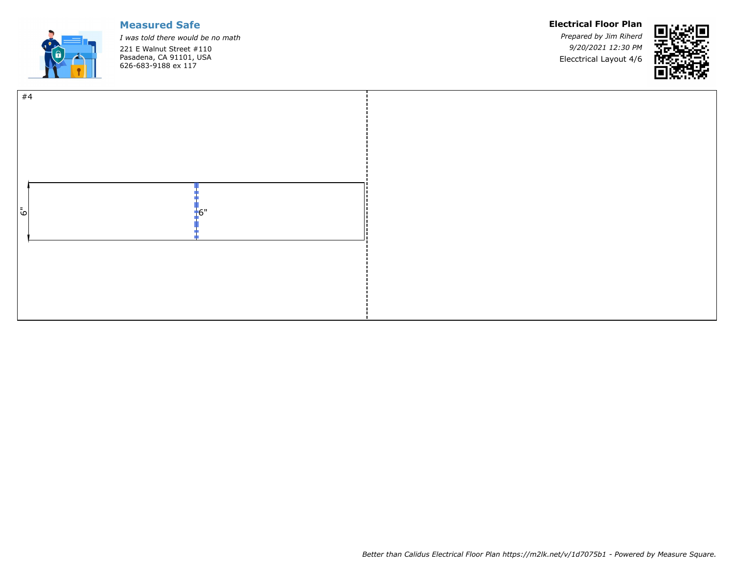

*I was told there would be no math* 221 E Walnut Street #110 Pasadena, CA 91101, USA 626-683-9188 ex 117

#### **Electrical Floor Plan**

*Prepared by Jim Riherd 9/20/2021 12:30 PM* Elecctrical Layout 4/6



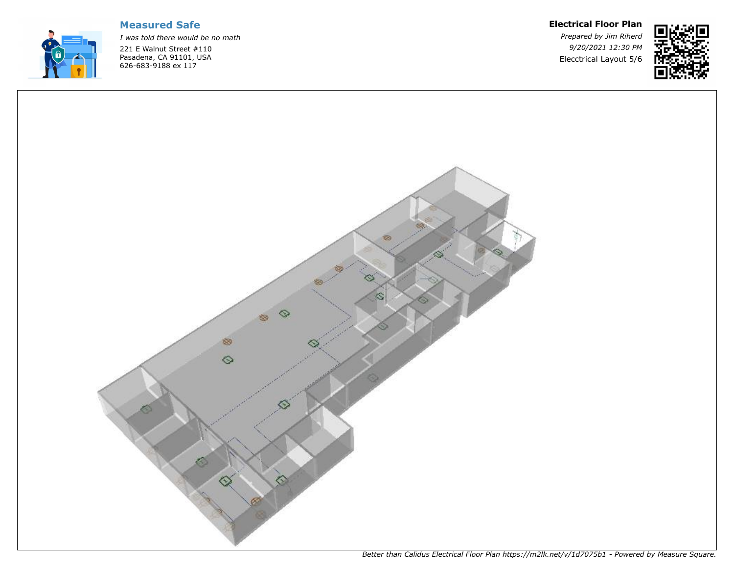

*I was told there would be no math* 221 E Walnut Street #110 Pasadena, CA 91101, USA 626-683-9188 ex 117

#### **Electrical Floor Plan**

*Prepared by Jim Riherd 9/20/2021 12:30 PM* Elecctrical Layout 5/6